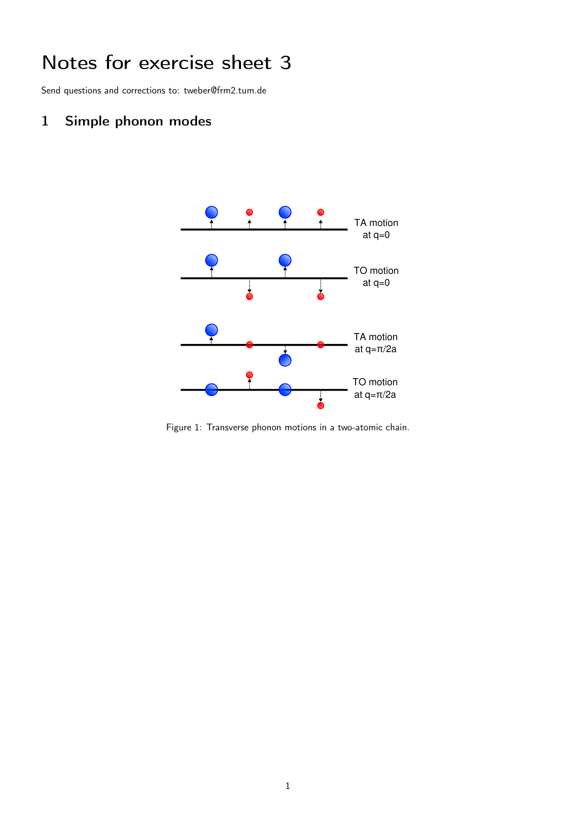## Notes for exercise sheet 3

Send questions and corrections to: tweber@frm2.tum.de

## 1 Simple phonon modes



Figure 1: Transverse phonon motions in a two-atomic chain.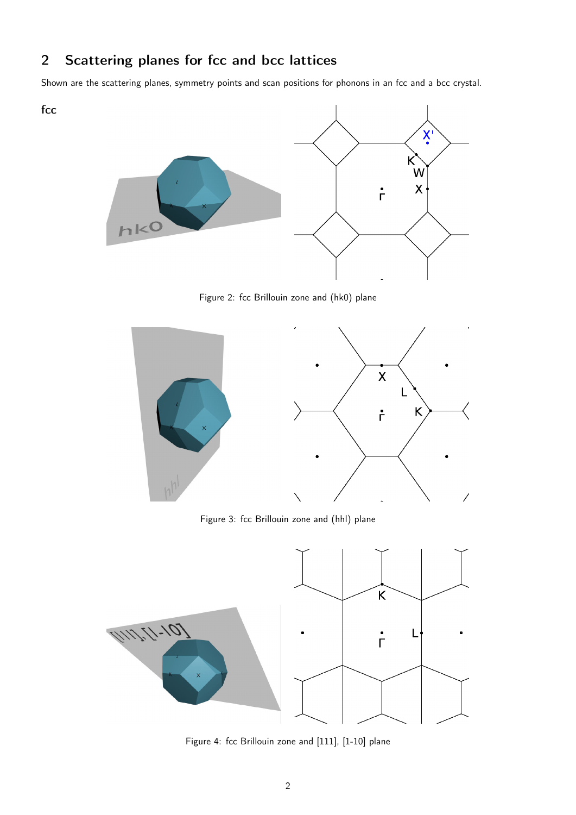## 2 Scattering planes for fcc and bcc lattices

fcc

Shown are the scattering planes, symmetry points and scan positions for phonons in an fcc and a bcc crystal.



Figure 2: fcc Brillouin zone and (hk0) plane



Figure 3: fcc Brillouin zone and (hhl) plane



Figure 4: fcc Brillouin zone and [111], [1-10] plane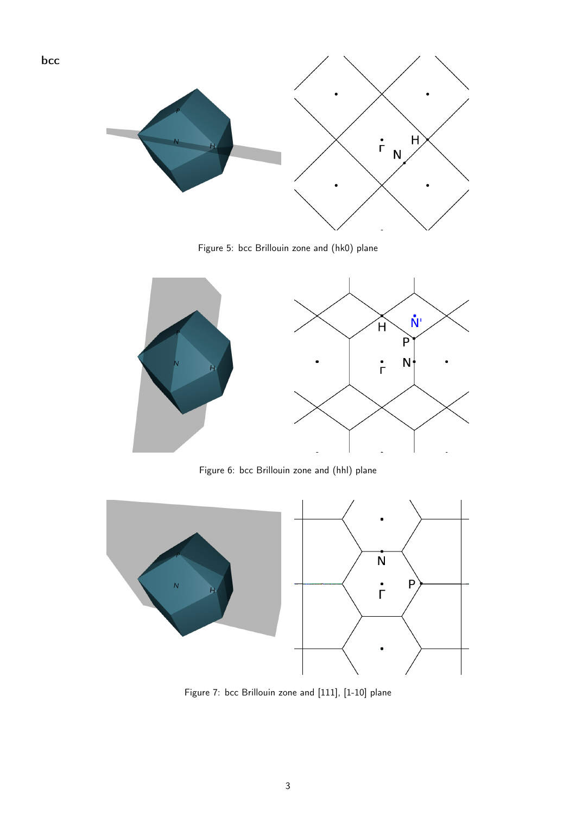

bcc

Figure 5: bcc Brillouin zone and (hk0) plane



Figure 6: bcc Brillouin zone and (hhl) plane



Figure 7: bcc Brillouin zone and [111], [1-10] plane